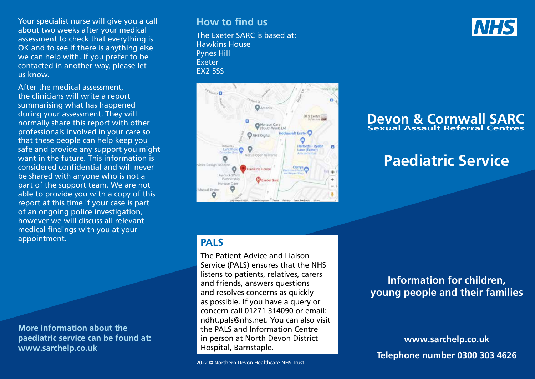Your specialist nurse will give you a call about two weeks after your medical assessment to check that everything is OK and to see if there is anything else we can help with. If you prefer to be contacted in another way, please let us know.

After the medical assessment, the clinicians will write a report summarising what has happened during your assessment. They will normally share this report with other professionals involved in your care so that these people can help keep you safe and provide any support you might want in the future. This information is considered confidential and will never be shared with anyone who is not a part of the support team. We are not able to provide you with a copy of this report at this time if your case is part of an ongoing police investigation, however we will discuss all relevant medical findings with you at your appointment.

**More information about the paediatric service can be found at: www.sarchelp.co.uk** 

#### **How to find us**

The Exeter SARC is based at: Hawkins House Pynes Hill Exeter EX2 5SS



## **PALS**

The Patient Advice and Liaison Service (PALS) ensures that the NHS listens to patients, relatives, carers and friends, answers questions and resolves concerns as quickly as possible. If you have a query or concern call 01271 314090 or email: ndht.pals@nhs.net. You can also visit the PALS and Information Centre in person at North Devon District Hospital, Barnstaple.

2022 © Northern Devon Healthcare NHS Trust

#### **Devon & Cornwall SARC Sexual Assault Referral Centres**

# **Paediatric Service**

## **Information for children, young people and their families**

**www.sarchelp.co.uk Telephone number 0300 303 4626**